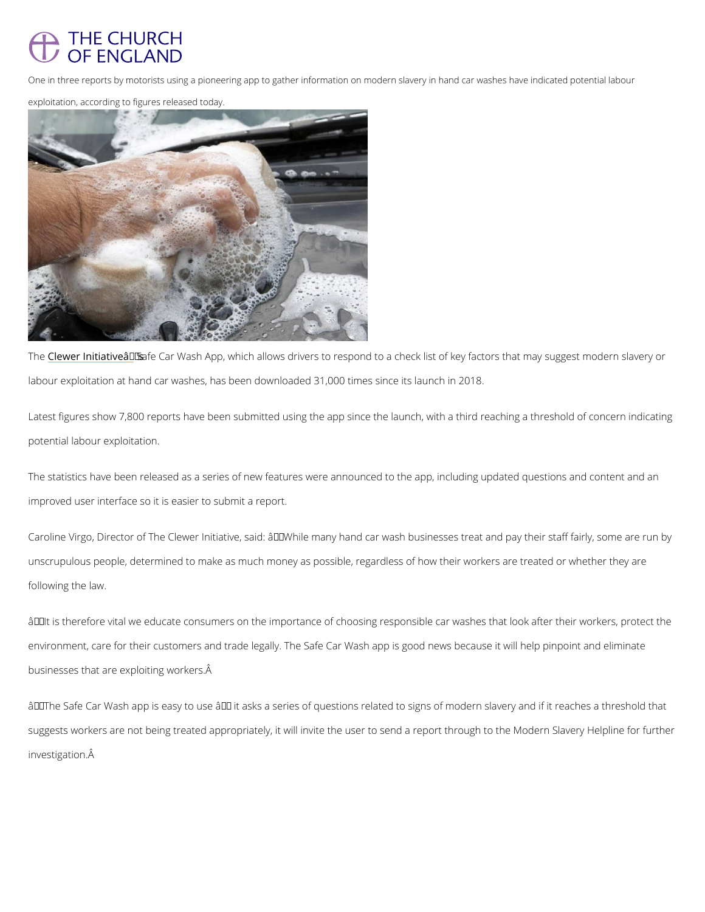## THE CHURCH OF ENGLAND

One in three reports by motorists using a pioneering app to gather information on modern slavery in han exploitation, according to figures released today.

Th $\mathcal C$ lewer Initia $\mathcal S$ iavfeeâ $\mathcal \in$  Yens Wash App, which allows drivers to respond to a check list of key fac labour exploitation at hand car washes, has been downloaded 31,000 times since its launch i

Latest figures show 7,800 reports have been submitted using the app since the launch, with a potential labour exploitation.

The statistics have been released as a series of new features were announced to the app, in improved user interface so it is easier to submit a report.

Caroline Virgo, Director of The Clewer Initiative, said:  $\hat{a} \in \infty$ While many hand car wash busine unscrupulous people, determined to make as much money as possible, regardless of how thei following the law.

 $\hat{a} \in \text{cell}$  is therefore vital we educate consumers on the importance of choosing responsible car environment, care for their customers and trade legally. The Safe Car Wash app is good new businesses that are exploiting workers.

 $\hat{a} \in \infty$  The Safe Car Wash app is easy to use  $\hat{a} \in$  it asks a series of questions related to signs

suggests workers are not being treated appropriately, it will invite the user to send a report investigation.